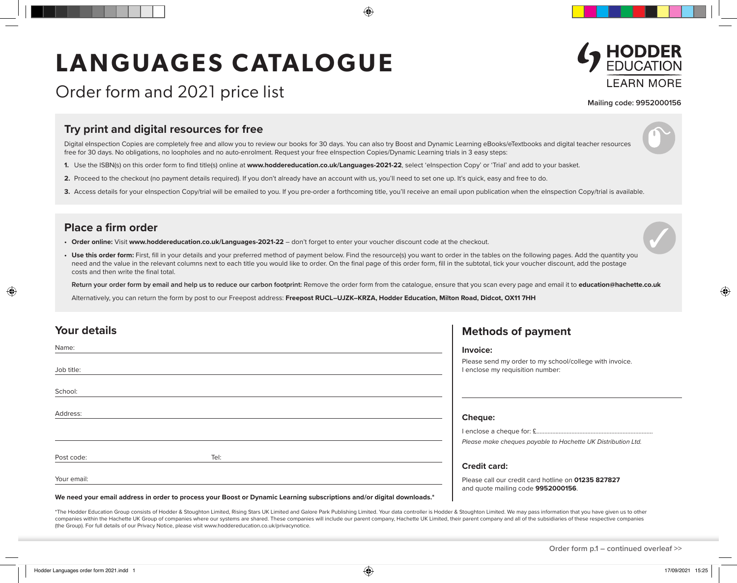# LANGUAGES CATALOGUE



Order form and 2021 price list

**Mailing code: 9952000156**

### **Try print and digital resources for free**

Digital eInspection Copies are completely free and allow you to review our books for 30 days. You can also try Boost and Dynamic Learning eBooks/eTextbooks and digital teacher resources free for 30 days. No obligations, no loopholes and no auto-enrolment. Request your free elnspection Copies/Dynamic Learning trials in 3 easy steps:

- **1.** Use the ISBN(s) on this order form to find title(s) online at **www.hoddereducation.co.uk/Languages-2021-22**, select 'eInspection Copy' or 'Trial' and add to your basket.
- **2.** Proceed to the checkout (no payment details required). If you don't already have an account with us, you'll need to set one up. It's quick, easy and free to do.
- 3. Access details for your eInspection Copy/trial will be emailed to you. If you pre-order a forthcoming title, you'll receive an email upon publication when the eInspection Copy/trial is available.

#### **Place a firm order**

- **• Order online:** Visit **www.hoddereducation.co.uk/Languages-2021-22** don't forget to enter your voucher discount code at the checkout.
- Use this order form: First, fill in your details and your preferred method of payment below. Find the resource(s) you want to order in the tables on the following pages. Add the quantity you need and the value in the relevant columns next to each title you would like to order. On the final page of this order form, fill in the subtotal, tick your voucher discount, add the postage costs and then write the final total.

**Return your order form by email and help us to reduce our carbon footprint:** Remove the order form from the catalogue, ensure that you scan every page and email it to **education@hachette.co.uk**

Alternatively, you can return the form by post to our Freepost address: Freepost RUCL-UJZK-KRZA, Hodder Education, Milton Road, Didcot, OX11 7HH

| <b>Your details</b> |      | <b>Methods of payment</b>                                                                   |
|---------------------|------|---------------------------------------------------------------------------------------------|
| Name:               |      | Invoice:                                                                                    |
| Job title:          |      | Please send my order to my school/college with invoice.<br>I enclose my requisition number: |
| School:             |      |                                                                                             |
| Address:            |      | <b>Cheque:</b>                                                                              |
|                     |      |                                                                                             |
|                     |      | Please make cheques payable to Hachette UK Distribution Ltd.                                |
| Post code:          | Tel: |                                                                                             |
|                     |      | <b>Credit card:</b>                                                                         |
| Your email:         |      | Please call our credit card hotline on 01235 827827<br>and quote mailing code 9952000156.   |

#### **We need your email address in order to process your Boost or Dynamic Learning subscriptions and/or digital downloads.\***

\*The Hodder Education Group consists of Hodder & Stoughton Limited, Rising Stars UK Limited and Galore Park Publishing Limited. Your data controller is Hodder & Stoughton Limited. We may pass information that you have give companies within the Hachette UK Group of companies where our systems are shared. These companies will include our parent company, Hachette UK Limited, their parent company and all of the subsidiaries of these respective c (the Group). For full details of our Privacy Notice, please visit www.hoddereducation.co.uk/privacynotice.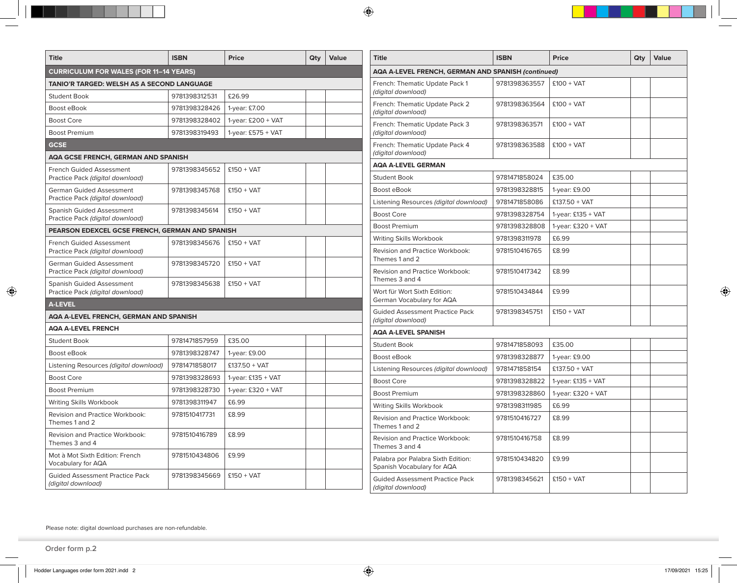| <b>Title</b>                                                        | <b>ISBN</b>   | <b>Price</b>         | Qty                                                       | Value         | <b>Title</b>                                                     | <b>ISBN</b>   | <b>Price</b>         | Qty | Value |  |
|---------------------------------------------------------------------|---------------|----------------------|-----------------------------------------------------------|---------------|------------------------------------------------------------------|---------------|----------------------|-----|-------|--|
| <b>CURRICULUM FOR WALES (FOR 11–14 YEARS)</b>                       |               |                      | <b>AQA A-LEVEL FRENCH, GERMAN AND SPANISH (continued)</b> |               |                                                                  |               |                      |     |       |  |
| TANIO'R TARGED: WELSH AS A SECOND LANGUAGE                          |               |                      | French: Thematic Update Pack 1                            | 9781398363557 | $£100 + VAT$                                                     |               |                      |     |       |  |
| <b>Student Book</b>                                                 | 9781398312531 | £26.99               |                                                           |               | (digital download)                                               |               |                      |     |       |  |
| Boost eBook                                                         | 9781398328426 | 1-year: £7.00        |                                                           |               | French: Thematic Update Pack 2<br>(digital download)             | 9781398363564 | $£100 + VAT$         |     |       |  |
| <b>Boost Core</b>                                                   | 9781398328402 | 1-year: £200 + VAT   |                                                           |               | French: Thematic Update Pack 3                                   | 9781398363571 | $£100 + VAT$         |     |       |  |
| <b>Boost Premium</b>                                                | 9781398319493 | 1-year: $£575 + VAT$ |                                                           |               | (digital download)                                               |               |                      |     |       |  |
| <b>GCSE</b>                                                         |               |                      | French: Thematic Update Pack 4                            | 9781398363588 | $£100 + VAT$                                                     |               |                      |     |       |  |
| <b>AQA GCSE FRENCH, GERMAN AND SPANISH</b>                          |               |                      | (digital download)                                        |               |                                                                  |               |                      |     |       |  |
| French Guided Assessment                                            | 9781398345652 | $£150 + VAT$         |                                                           |               | <b>AQA A-LEVEL GERMAN</b><br><b>Student Book</b>                 | 9781471858024 | £35.00               |     |       |  |
| Practice Pack (digital download)<br><b>German Guided Assessment</b> | 9781398345768 | $£150 + VAT$         |                                                           |               | Boost eBook                                                      | 9781398328815 | 1-year: £9.00        |     |       |  |
| Practice Pack (digital download)                                    |               |                      |                                                           |               | Listening Resources (digital download)                           | 9781471858086 | $£137.50 + VAT$      |     |       |  |
| <b>Spanish Guided Assessment</b>                                    | 9781398345614 | $£150 + VAT$         |                                                           |               | <b>Boost Core</b>                                                | 9781398328754 | 1-year: $£135 + VAT$ |     |       |  |
| Practice Pack (digital download)                                    |               |                      |                                                           |               | <b>Boost Premium</b>                                             | 9781398328808 | 1-year: £320 + VAT   |     |       |  |
| PEARSON EDEXCEL GCSE FRENCH, GERMAN AND SPANISH                     |               |                      |                                                           |               | <b>Writing Skills Workbook</b>                                   | 9781398311978 | £6.99                |     |       |  |
| <b>French Guided Assessment</b><br>Practice Pack (digital download) | 9781398345676 | $£150 + VAT$         |                                                           |               | Revision and Practice Workbook:<br>Themes 1 and 2                | 9781510416765 | £8.99                |     |       |  |
| <b>German Guided Assessment</b><br>Practice Pack (digital download) | 9781398345720 | $£150 + VAT$         |                                                           |               | Revision and Practice Workbook:                                  | 9781510417342 | £8.99                |     |       |  |
| <b>Spanish Guided Assessment</b>                                    | 9781398345638 | $£150 + VAT$         |                                                           |               | Themes 3 and 4                                                   |               | £9.99                |     |       |  |
| Practice Pack (digital download)<br><b>A-LEVEL</b>                  |               |                      |                                                           |               | Wort für Wort Sixth Edition:<br>German Vocabulary for AQA        | 9781510434844 |                      |     |       |  |
| AQA A-LEVEL FRENCH, GERMAN AND SPANISH                              |               |                      |                                                           |               | <b>Guided Assessment Practice Pack</b>                           | 9781398345751 | $£150 + VAT$         |     |       |  |
| <b>AQA A-LEVEL FRENCH</b>                                           |               |                      |                                                           |               | (digital download)                                               |               |                      |     |       |  |
| <b>Student Book</b>                                                 | 9781471857959 | £35.00               |                                                           |               | <b>AQA A-LEVEL SPANISH</b>                                       |               |                      |     |       |  |
| Boost eBook                                                         | 9781398328747 | 1-year: £9.00        |                                                           |               | <b>Student Book</b>                                              | 9781471858093 | £35.00               |     |       |  |
| Listening Resources (digital download)                              | 9781471858017 | $£137.50 + VAT$      |                                                           |               | Boost eBook                                                      | 9781398328877 | 1-year: £9.00        |     |       |  |
| <b>Boost Core</b>                                                   | 9781398328693 | 1-year: $£135 + VAT$ |                                                           |               | Listening Resources (digital download)                           | 9781471858154 | $£137.50 + VAT$      |     |       |  |
| <b>Boost Premium</b>                                                | 9781398328730 | 1-year: $£320 + VAT$ |                                                           |               | <b>Boost Core</b>                                                | 9781398328822 | 1-year: £135 + VAT   |     |       |  |
| Writing Skills Workbook                                             | 9781398311947 | £6.99                |                                                           |               | <b>Boost Premium</b>                                             | 9781398328860 | 1-year: $£320 + VAT$ |     |       |  |
| Revision and Practice Workbook:                                     | 9781510417731 | £8.99                |                                                           |               | Writing Skills Workbook                                          | 9781398311985 | £6.99                |     |       |  |
| Themes 1 and 2                                                      |               |                      |                                                           |               | Revision and Practice Workbook:<br>Themes 1 and 2                | 9781510416727 | £8.99                |     |       |  |
| Revision and Practice Workbook:<br>Themes 3 and 4                   | 9781510416789 | £8.99                |                                                           |               | Revision and Practice Workbook:<br>Themes 3 and 4                | 9781510416758 | £8.99                |     |       |  |
| Mot à Mot Sixth Edition: French<br>Vocabulary for AQA               | 9781510434806 | £9.99                |                                                           |               | Palabra por Palabra Sixth Edition:<br>Spanish Vocabulary for AQA | 9781510434820 | £9.99                |     |       |  |
| <b>Guided Assessment Practice Pack</b><br>(digital download)        | 9781398345669 | $£150 + VAT$         |                                                           |               | <b>Guided Assessment Practice Pack</b><br>(digital download)     | 9781398345621 | $£150 + VAT$         |     |       |  |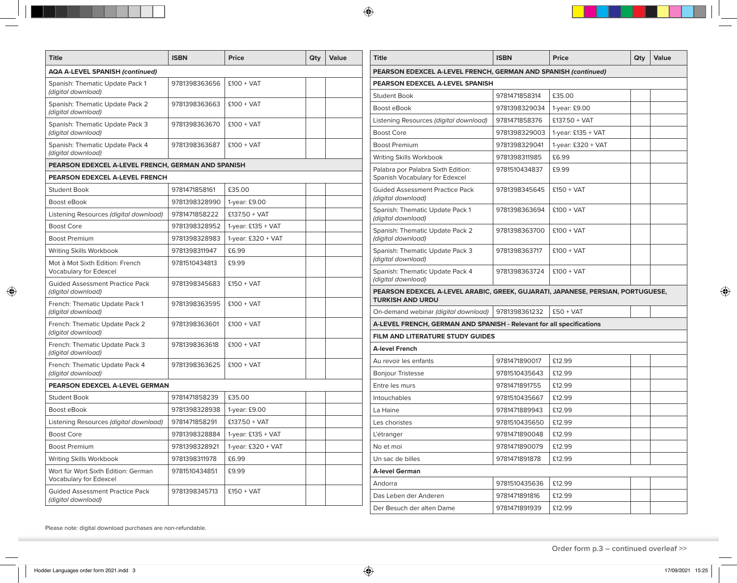| <b>Title</b>                                                     | <b>ISBN</b>                   | Price                | Qty                                                            | Value                           | <b>Title</b>                                                                                               | <b>ISBN</b>   | <b>Price</b>         | Qty | Value |  |  |  |  |
|------------------------------------------------------------------|-------------------------------|----------------------|----------------------------------------------------------------|---------------------------------|------------------------------------------------------------------------------------------------------------|---------------|----------------------|-----|-------|--|--|--|--|
| <b>AQA A-LEVEL SPANISH (continued)</b>                           |                               |                      | PEARSON EDEXCEL A-LEVEL FRENCH, GERMAN AND SPANISH (continued) |                                 |                                                                                                            |               |                      |     |       |  |  |  |  |
| Spanish: Thematic Update Pack 1                                  | 9781398363656<br>$£100 + VAT$ |                      |                                                                | PEARSON EDEXCEL A-LEVEL SPANISH |                                                                                                            |               |                      |     |       |  |  |  |  |
| (digital download)                                               |                               |                      |                                                                |                                 | <b>Student Book</b>                                                                                        | 9781471858314 | £35.00               |     |       |  |  |  |  |
| Spanish: Thematic Update Pack 2<br>(digital download)            | 9781398363663                 | $£100 + VAT$         |                                                                |                                 | Boost eBook                                                                                                | 9781398329034 | 1-year: £9.00        |     |       |  |  |  |  |
| Spanish: Thematic Update Pack 3                                  | 9781398363670                 | $£100 + VAT$         |                                                                |                                 | Listening Resources (digital download)                                                                     | 9781471858376 | $£137.50 + VAT$      |     |       |  |  |  |  |
| (digital download)                                               |                               |                      |                                                                |                                 | <b>Boost Core</b>                                                                                          | 9781398329003 | 1-year: $£135 + VAT$ |     |       |  |  |  |  |
| Spanish: Thematic Update Pack 4<br>(digital download)            | 9781398363687                 | $£100 + VAT$         |                                                                |                                 | <b>Boost Premium</b>                                                                                       | 9781398329041 | 1-year: $£320 + VAT$ |     |       |  |  |  |  |
| PEARSON EDEXCEL A-LEVEL FRENCH, GERMAN AND SPANISH               |                               |                      | Writing Skills Workbook                                        | 9781398311985                   | £6.99                                                                                                      |               |                      |     |       |  |  |  |  |
| <b>PEARSON EDEXCEL A-LEVEL FRENCH</b>                            |                               |                      |                                                                |                                 | Palabra por Palabra Sixth Edition:<br>Spanish Vocabulary for Edexcel                                       | 9781510434837 | £9.99                |     |       |  |  |  |  |
| <b>Student Book</b>                                              | 9781471858161                 | £35.00               |                                                                |                                 | <b>Guided Assessment Practice Pack</b>                                                                     | 9781398345645 | $£150 + VAT$         |     |       |  |  |  |  |
| Boost eBook                                                      | 9781398328990                 | 1-year: £9.00        |                                                                |                                 | (digital download)                                                                                         |               |                      |     |       |  |  |  |  |
| Listening Resources (digital download)                           | 9781471858222                 | $£137.50 + VAT$      |                                                                |                                 | Spanish: Thematic Update Pack 1<br>(digital download)                                                      | 9781398363694 | $£100 + VAT$         |     |       |  |  |  |  |
| <b>Boost Core</b>                                                | 9781398328952                 | 1-year: $£135 + VAT$ |                                                                |                                 | Spanish: Thematic Update Pack 2                                                                            | 9781398363700 | $£100 + VAT$         |     |       |  |  |  |  |
| <b>Boost Premium</b>                                             | 9781398328983                 | 1-year: £320 + VAT   |                                                                |                                 | (digital download)                                                                                         |               |                      |     |       |  |  |  |  |
| Writing Skills Workbook                                          | 9781398311947                 | £6.99                |                                                                |                                 | Spanish: Thematic Update Pack 3                                                                            | 9781398363717 | $£100 + VAT$         |     |       |  |  |  |  |
| Mot à Mot Sixth Edition: French<br>Vocabulary for Edexcel        | 9781510434813                 | £9.99                |                                                                |                                 | (digital download)<br>Spanish: Thematic Update Pack 4                                                      | 9781398363724 | $£100 + VAT$         |     |       |  |  |  |  |
| <b>Guided Assessment Practice Pack</b>                           | 9781398345683                 | $£150 + VAT$         |                                                                |                                 | (digital download)                                                                                         |               |                      |     |       |  |  |  |  |
| (digital download)                                               |                               |                      |                                                                |                                 | PEARSON EDEXCEL A-LEVEL ARABIC, GREEK, GUJARATI, JAPANESE, PERSIAN, PORTUGUESE,<br><b>TURKISH AND URDU</b> |               |                      |     |       |  |  |  |  |
| French: Thematic Update Pack 1<br>(digital download)             | 9781398363595                 | $£100 + VAT$         |                                                                |                                 | On-demand webinar (digital download)                                                                       | 9781398361232 | $£50 + VAT$          |     |       |  |  |  |  |
| French: Thematic Update Pack 2                                   | 9781398363601                 | $£100 + VAT$         |                                                                |                                 | A-LEVEL FRENCH, GERMAN AND SPANISH - Relevant for all specifications                                       |               |                      |     |       |  |  |  |  |
| (digital download)                                               |                               |                      |                                                                |                                 | FILM AND LITERATURE STUDY GUIDES                                                                           |               |                      |     |       |  |  |  |  |
| French: Thematic Update Pack 3<br>(digital download)             | 9781398363618                 | $£100 + VAT$         |                                                                |                                 | <b>A-level French</b>                                                                                      |               |                      |     |       |  |  |  |  |
| French: Thematic Update Pack 4                                   | 9781398363625                 | $£100 + VAT$         |                                                                |                                 | Au revoir les enfants                                                                                      | 9781471890017 | £12.99               |     |       |  |  |  |  |
| (digital download)                                               |                               |                      |                                                                |                                 | <b>Bonjour Tristesse</b>                                                                                   | 9781510435643 | £12.99               |     |       |  |  |  |  |
| <b>PEARSON EDEXCEL A-LEVEL GERMAN</b>                            |                               |                      |                                                                |                                 | Entre les murs                                                                                             | 9781471891755 | £12.99               |     |       |  |  |  |  |
| <b>Student Book</b>                                              | 9781471858239                 | £35.00               |                                                                |                                 | Intouchables                                                                                               | 9781510435667 | £12.99               |     |       |  |  |  |  |
| Boost eBook                                                      | 9781398328938                 | 1-year: £9.00        |                                                                |                                 | La Haine                                                                                                   | 9781471889943 | £12.99               |     |       |  |  |  |  |
| Listening Resources (digital download)                           | 9781471858291                 | $£137.50 + VAT$      |                                                                |                                 | Les choristes                                                                                              | 9781510435650 | £12.99               |     |       |  |  |  |  |
| <b>Boost Core</b>                                                | 9781398328884                 | 1-year: $£135 + VAT$ |                                                                |                                 | L'étranger                                                                                                 | 9781471890048 | £12.99               |     |       |  |  |  |  |
| <b>Boost Premium</b>                                             | 9781398328921                 | 1-year: $£320 + VAT$ |                                                                |                                 | No et moi                                                                                                  | 9781471890079 | £12.99               |     |       |  |  |  |  |
| Writing Skills Workbook                                          | 9781398311978                 | £6.99                |                                                                |                                 | Un sac de billes                                                                                           | 9781471891878 | £12.99               |     |       |  |  |  |  |
| Wort für Wort Sixth Edition: German                              | 9781510434851                 | £9.99                |                                                                |                                 | <b>A-level German</b>                                                                                      |               |                      |     |       |  |  |  |  |
| Vocabulary for Edexcel<br><b>Guided Assessment Practice Pack</b> |                               |                      |                                                                |                                 | Andorra                                                                                                    | 9781510435636 | £12.99               |     |       |  |  |  |  |
| (digital download)                                               | 9781398345713                 | $£150 + VAT$         |                                                                |                                 | Das Leben der Anderen                                                                                      | 9781471891816 | £12.99               |     |       |  |  |  |  |
|                                                                  |                               |                      |                                                                |                                 | Der Besuch der alten Dame                                                                                  | 9781471891939 | £12.99               |     |       |  |  |  |  |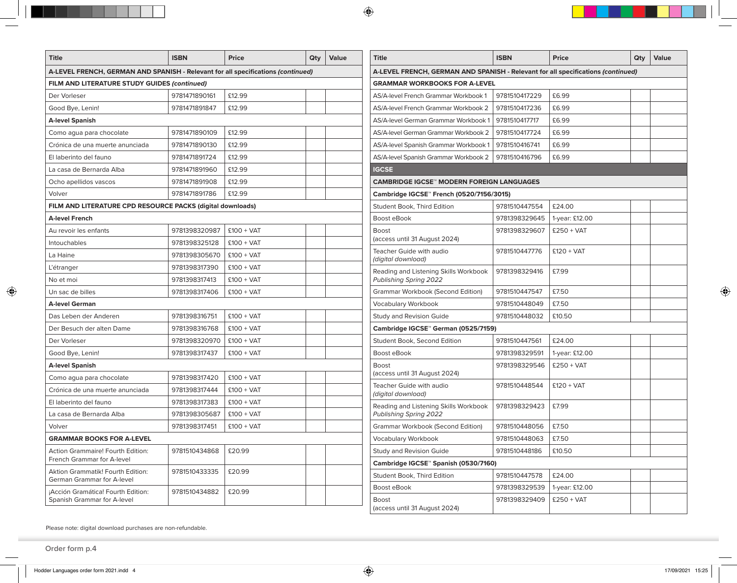| <b>Title</b>                                                                     | <b>ISBN</b>   | Price        | Qty                                  | Value                                                                            | Title                                            | <b>ISBN</b>   | <b>Price</b>   | Qty | Value |  |  |
|----------------------------------------------------------------------------------|---------------|--------------|--------------------------------------|----------------------------------------------------------------------------------|--------------------------------------------------|---------------|----------------|-----|-------|--|--|
| A-LEVEL FRENCH, GERMAN AND SPANISH - Relevant for all specifications (continued) |               |              |                                      | A-LEVEL FRENCH, GERMAN AND SPANISH - Relevant for all specifications (continued) |                                                  |               |                |     |       |  |  |
| FILM AND LITERATURE STUDY GUIDES (continued)                                     |               |              | <b>GRAMMAR WORKBOOKS FOR A-LEVEL</b> |                                                                                  |                                                  |               |                |     |       |  |  |
| Der Vorleser                                                                     | 9781471890161 | £12.99       |                                      |                                                                                  | AS/A-level French Grammar Workbook 1             | 9781510417229 | £6.99          |     |       |  |  |
| Good Bye, Lenin!                                                                 | 9781471891847 | £12.99       |                                      |                                                                                  | AS/A-level French Grammar Workbook 2             | 9781510417236 | £6.99          |     |       |  |  |
| <b>A-level Spanish</b>                                                           |               |              |                                      | AS/A-level German Grammar Workbook 1                                             | 9781510417717                                    | £6.99         |                |     |       |  |  |
| Como agua para chocolate                                                         | 9781471890109 | £12.99       |                                      |                                                                                  | AS/A-level German Grammar Workbook 2             | 9781510417724 | £6.99          |     |       |  |  |
| Crónica de una muerte anunciada                                                  | 9781471890130 | £12.99       |                                      |                                                                                  | AS/A-level Spanish Grammar Workbook 1            | 9781510416741 | £6.99          |     |       |  |  |
| El laberinto del fauno                                                           | 9781471891724 | £12.99       |                                      |                                                                                  | AS/A-level Spanish Grammar Workbook 2            | 9781510416796 | £6.99          |     |       |  |  |
| La casa de Bernarda Alba                                                         | 9781471891960 | £12.99       |                                      |                                                                                  | <b>IGCSE</b>                                     |               |                |     |       |  |  |
| Ocho apellidos vascos                                                            | 9781471891908 | £12.99       |                                      |                                                                                  | <b>CAMBRIDGE IGCSE™ MODERN FOREIGN LANGUAGES</b> |               |                |     |       |  |  |
| Volver                                                                           | 9781471891786 | £12.99       |                                      |                                                                                  | Cambridge IGCSE™ French (0520/7156/3015)         |               |                |     |       |  |  |
| FILM AND LITERATURE CPD RESOURCE PACKS (digital downloads)                       |               |              |                                      |                                                                                  | Student Book, Third Edition                      | 9781510447554 | £24.00         |     |       |  |  |
| <b>A-level French</b>                                                            |               |              |                                      |                                                                                  | Boost eBook                                      | 9781398329645 | 1-year: £12.00 |     |       |  |  |
| Au revoir les enfants                                                            | 9781398320987 | $£100 + VAT$ |                                      |                                                                                  | <b>Boost</b>                                     | 9781398329607 | $£250 + VAT$   |     |       |  |  |
| Intouchables                                                                     | 9781398325128 | $£100 + VAT$ |                                      |                                                                                  | (access until 31 August 2024)                    |               |                |     |       |  |  |
| La Haine                                                                         | 9781398305670 | $£100 + VAT$ |                                      |                                                                                  | Teacher Guide with audio<br>(digital download)   | 9781510447776 | $£120 + VAT$   |     |       |  |  |
| L'étranger                                                                       | 9781398317390 | $£100 + VAT$ |                                      |                                                                                  | Reading and Listening Skills Workbook            | 9781398329416 | £7.99          |     |       |  |  |
| No et moi                                                                        | 9781398317413 | $£100 + VAT$ |                                      |                                                                                  | Publishing Spring 2022                           |               |                |     |       |  |  |
| Un sac de billes                                                                 | 9781398317406 | $£100 + VAT$ |                                      |                                                                                  | <b>Grammar Workbook (Second Edition)</b>         | 9781510447547 | £7.50          |     |       |  |  |
| <b>A-level German</b>                                                            |               |              |                                      |                                                                                  | <b>Vocabulary Workbook</b>                       | 9781510448049 | £7.50          |     |       |  |  |
| Das Leben der Anderen                                                            | 9781398316751 | $£100 + VAT$ |                                      |                                                                                  | Study and Revision Guide                         | 9781510448032 | £10.50         |     |       |  |  |
| Der Besuch der alten Dame                                                        | 9781398316768 | $£100 + VAT$ |                                      |                                                                                  | Cambridge IGCSE™ German (0525/7159)              |               |                |     |       |  |  |
| Der Vorleser                                                                     | 9781398320970 | $£100 + VAT$ |                                      |                                                                                  | Student Book, Second Edition                     | 9781510447561 | £24.00         |     |       |  |  |
| Good Bye, Lenin!                                                                 | 9781398317437 | $£100 + VAT$ |                                      |                                                                                  | Boost eBook                                      | 9781398329591 | 1-year: £12.00 |     |       |  |  |
| <b>A-level Spanish</b>                                                           |               |              |                                      |                                                                                  | <b>Boost</b>                                     | 9781398329546 | $£250 + VAT$   |     |       |  |  |
| Como agua para chocolate                                                         | 9781398317420 | $£100 + VAT$ |                                      |                                                                                  | (access until 31 August 2024)                    |               |                |     |       |  |  |
| Crónica de una muerte anunciada                                                  | 9781398317444 | $£100 + VAT$ |                                      |                                                                                  | Teacher Guide with audio<br>(digital download)   | 9781510448544 | $£120 + VAT$   |     |       |  |  |
| El laberinto del fauno                                                           | 9781398317383 | $£100 + VAT$ |                                      |                                                                                  | Reading and Listening Skills Workbook            | 9781398329423 | £7.99          |     |       |  |  |
| La casa de Bernarda Alba                                                         | 9781398305687 | $£100 + VAT$ |                                      |                                                                                  | Publishing Spring 2022                           |               |                |     |       |  |  |
| Volver                                                                           | 9781398317451 | $£100 + VAT$ |                                      |                                                                                  | <b>Grammar Workbook (Second Edition)</b>         | 9781510448056 | £7.50          |     |       |  |  |
| <b>GRAMMAR BOOKS FOR A-LEVEL</b>                                                 |               |              |                                      |                                                                                  | <b>Vocabulary Workbook</b>                       | 9781510448063 | £7.50          |     |       |  |  |
| Action Grammaire! Fourth Edition:                                                | 9781510434868 | £20.99       |                                      |                                                                                  | Study and Revision Guide                         | 9781510448186 | £10.50         |     |       |  |  |
| French Grammar for A-level                                                       |               |              |                                      |                                                                                  | Cambridge IGCSE <sup>®</sup> Spanish (0530/7160) |               |                |     |       |  |  |
| Aktion Grammatik! Fourth Edition:<br>German Grammar for A-level                  | 9781510433335 | £20.99       |                                      |                                                                                  | Student Book, Third Edition                      | 9781510447578 | £24.00         |     |       |  |  |
| ¡Acción Gramática! Fourth Edition:                                               | 9781510434882 | £20.99       |                                      |                                                                                  | Boost eBook                                      | 9781398329539 | 1-year: £12.00 |     |       |  |  |
| Spanish Grammar for A-level                                                      |               |              |                                      |                                                                                  | <b>Boost</b><br>(access until 31 August 2024)    | 9781398329409 | $£250 + VAT$   |     |       |  |  |

Please note: digital download purchases are non-refundable.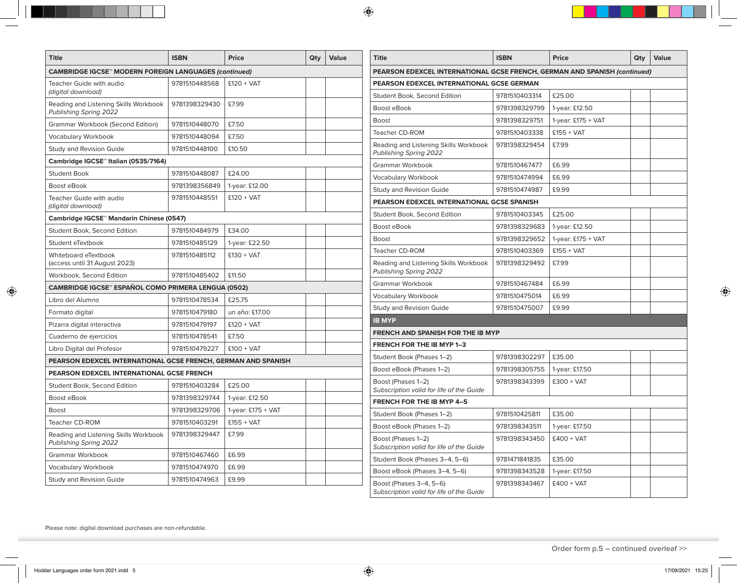| <b>Title</b>                                                    | <b>ISBN</b>   | Price                | Qty                                       | Value                                                                     | <b>Title</b>                                                           | <b>ISBN</b>   | <b>Price</b>         | Qty | Value |  |  |
|-----------------------------------------------------------------|---------------|----------------------|-------------------------------------------|---------------------------------------------------------------------------|------------------------------------------------------------------------|---------------|----------------------|-----|-------|--|--|
| <b>CAMBRIDGE IGCSE™ MODERN FOREIGN LANGUAGES (continued)</b>    |               |                      |                                           | PEARSON EDEXCEL INTERNATIONAL GCSE FRENCH, GERMAN AND SPANISH (continued) |                                                                        |               |                      |     |       |  |  |
| 9781510448568<br>$£120 + VAT$<br>Teacher Guide with audio       |               |                      | PEARSON EDEXCEL INTERNATIONAL GCSE GERMAN |                                                                           |                                                                        |               |                      |     |       |  |  |
| (digital download)                                              |               |                      |                                           |                                                                           | Student Book, Second Edition                                           | 9781510403314 | £25.00               |     |       |  |  |
| Reading and Listening Skills Workbook<br>Publishing Spring 2022 | 9781398329430 | £7.99                |                                           |                                                                           | Boost eBook                                                            | 9781398329799 | 1-year: £12.50       |     |       |  |  |
| <b>Grammar Workbook (Second Edition)</b>                        | 9781510448070 | £7.50                |                                           |                                                                           | Boost                                                                  | 9781398329751 | 1-year: $£175 + VAT$ |     |       |  |  |
| Vocabulary Workbook                                             | 9781510448094 | £7.50                |                                           |                                                                           | Teacher CD-ROM                                                         | 9781510403338 | $£155 + VAT$         |     |       |  |  |
| Study and Revision Guide                                        | 9781510448100 | £10.50               |                                           |                                                                           | Reading and Listening Skills Workbook                                  | 9781398329454 | £7.99                |     |       |  |  |
| Cambridge IGCSE™ Italian (0535/7164)                            |               |                      |                                           |                                                                           | Publishing Spring 2022                                                 |               |                      |     |       |  |  |
| <b>Student Book</b>                                             | 9781510448087 | £24.00               |                                           |                                                                           | Grammar Workbook                                                       | 9781510467477 | £6.99                |     |       |  |  |
| Boost eBook                                                     | 9781398356849 | 1-year: £12.00       |                                           |                                                                           | Vocabulary Workbook                                                    | 9781510474994 | £6.99                |     |       |  |  |
| Teacher Guide with audio                                        | 9781510448551 | $£120 + VAT$         |                                           |                                                                           | Study and Revision Guide<br>PEARSON EDEXCEL INTERNATIONAL GCSE SPANISH | 9781510474987 | £9.99                |     |       |  |  |
| (digital download)                                              |               |                      |                                           |                                                                           | Student Book, Second Edition                                           | 9781510403345 | £25.00               |     |       |  |  |
| Cambridge IGCSE™ Mandarin Chinese (0547)                        |               |                      |                                           |                                                                           | Boost eBook                                                            | 9781398329683 | 1-year: £12.50       |     |       |  |  |
| Student Book, Second Edition                                    | 9781510484979 | £34.00               |                                           |                                                                           | Boost                                                                  | 9781398329652 | 1-year: $£175 + VAT$ |     |       |  |  |
| Student eTextbook                                               | 9781510485129 | 1-year: £22.50       |                                           |                                                                           | Teacher CD-ROM                                                         | 9781510403369 | $£155 + VAT$         |     |       |  |  |
| Whiteboard eTextbook<br>(access until 31 August 2023)           | 9781510485112 | $£130 + VAT$         |                                           |                                                                           | Reading and Listening Skills Workbook<br>Publishing Spring 2022        | 9781398329492 | £7.99                |     |       |  |  |
| Workbook, Second Edition                                        | 9781510485402 | £11.50               |                                           |                                                                           | Grammar Workbook                                                       | 9781510467484 | £6.99                |     |       |  |  |
| CAMBRIDGE IGCSE™ ESPAÑOL COMO PRIMERA LENGUA (0502)             |               |                      |                                           |                                                                           | <b>Vocabulary Workbook</b>                                             | 9781510475014 | £6.99                |     |       |  |  |
| Libro del Alumno                                                | 9781510478534 | £25.75               |                                           |                                                                           | Study and Revision Guide                                               | 9781510475007 | £9.99                |     |       |  |  |
| Formato digital                                                 | 9781510479180 | un año: £17.00       |                                           |                                                                           | <b>IB MYP</b>                                                          |               |                      |     |       |  |  |
| Pizarra digital interactiva                                     | 9781510479197 | $£120 + VAT$         |                                           |                                                                           | <b>FRENCH AND SPANISH FOR THE IB MYP</b>                               |               |                      |     |       |  |  |
| Cuaderno de ejercicios                                          | 9781510478541 | £7.50                |                                           |                                                                           | <b>FRENCH FOR THE IB MYP 1-3</b>                                       |               |                      |     |       |  |  |
| Libro Digital del Profesor                                      | 9781510479227 | $£100 + VAT$         |                                           |                                                                           | Student Book (Phases 1-2)                                              | 9781398302297 | £35.00               |     |       |  |  |
| PEARSON EDEXCEL INTERNATIONAL GCSE FRENCH, GERMAN AND SPANISH   |               |                      |                                           |                                                                           | Boost eBook (Phases 1-2)                                               | 9781398305755 | 1-year: £17.50       |     |       |  |  |
| PEARSON EDEXCEL INTERNATIONAL GCSE FRENCH                       |               |                      |                                           |                                                                           | Boost (Phases 1-2)                                                     | 9781398343399 | $£300 + VAT$         |     |       |  |  |
| <b>Student Book, Second Edition</b>                             | 9781510403284 | £25.00               |                                           |                                                                           | Subscription valid for life of the Guide                               |               |                      |     |       |  |  |
| Boost eBook                                                     | 9781398329744 | 1-year: £12.50       |                                           |                                                                           | <b>FRENCH FOR THE IB MYP 4-5</b>                                       |               |                      |     |       |  |  |
| <b>Boost</b>                                                    | 9781398329706 | 1-year: $£175 + VAT$ |                                           |                                                                           | Student Book (Phases 1-2)                                              | 9781510425811 | £35.00               |     |       |  |  |
| Teacher CD-ROM                                                  | 9781510403291 | $£155 + VAT$         |                                           |                                                                           | Boost eBook (Phases 1-2)                                               | 9781398343511 | 1-year: £17.50       |     |       |  |  |
| Reading and Listening Skills Workbook<br>Publishing Spring 2022 | 9781398329447 | £7.99                |                                           |                                                                           | Boost (Phases 1-2)<br>Subscription valid for life of the Guide         | 9781398343450 | $£400 + VAT$         |     |       |  |  |
| Grammar Workbook                                                | 9781510467460 | £6.99                |                                           |                                                                           | Student Book (Phases 3-4, 5-6)                                         | 9781471841835 | £35.00               |     |       |  |  |
| <b>Vocabulary Workbook</b>                                      | 9781510474970 | £6.99                |                                           |                                                                           | Boost eBook (Phases 3-4, 5-6)                                          | 9781398343528 | 1-year: £17.50       |     |       |  |  |
| Study and Revision Guide                                        | 9781510474963 | £9.99                |                                           |                                                                           | Boost (Phases 3-4, 5-6)<br>Subscription valid for life of the Guide    | 9781398343467 | $£400 + VAT$         |     |       |  |  |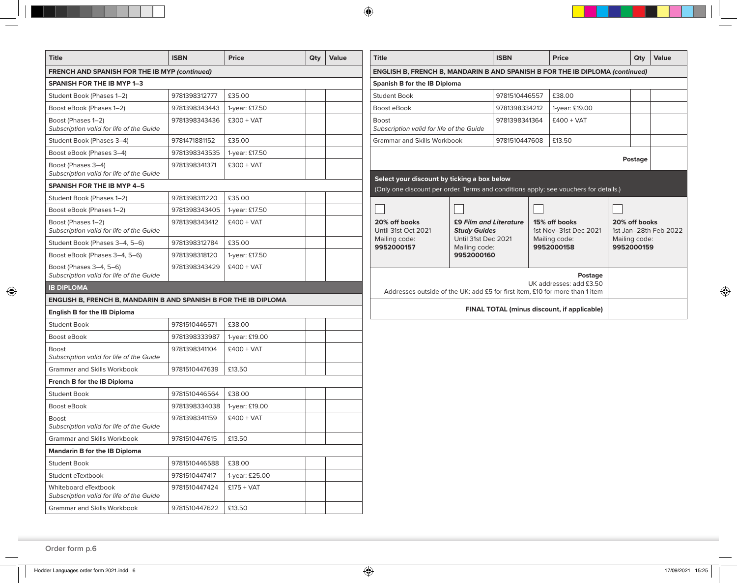| Title                                                               | <b>ISBN</b>   | <b>Price</b>   | Qty                                                                          | Value | <b>Title</b>                                                                         |                                               | <b>ISBN</b>             |                                        | <b>Price</b>                                |                                        | Qty | Value |
|---------------------------------------------------------------------|---------------|----------------|------------------------------------------------------------------------------|-------|--------------------------------------------------------------------------------------|-----------------------------------------------|-------------------------|----------------------------------------|---------------------------------------------|----------------------------------------|-----|-------|
| <b>FRENCH AND SPANISH FOR THE IB MYP (continued)</b>                |               |                | ENGLISH B, FRENCH B, MANDARIN B AND SPANISH B FOR THE IB DIPLOMA (continued) |       |                                                                                      |                                               |                         |                                        |                                             |                                        |     |       |
| <b>SPANISH FOR THE IB MYP 1-3</b>                                   |               |                |                                                                              |       | <b>Spanish B for the IB Diploma</b>                                                  |                                               |                         |                                        |                                             |                                        |     |       |
| Student Book (Phases 1-2)                                           | 9781398312777 | £35.00         |                                                                              |       | <b>Student Book</b>                                                                  |                                               | 9781510446557           |                                        | £38.00                                      |                                        |     |       |
| Boost eBook (Phases 1-2)                                            | 9781398343443 | 1-year: £17.50 |                                                                              |       | Boost eBook                                                                          |                                               | 9781398334212           |                                        | 1-year: £19.00                              |                                        |     |       |
| Boost (Phases 1-2)<br>Subscription valid for life of the Guide      | 9781398343436 | $£300 + VAT$   |                                                                              |       | <b>Boost</b><br>Subscription valid for life of the Guide                             |                                               | 9781398341364           |                                        | $£400 + VAT$                                |                                        |     |       |
| Student Book (Phases 3-4)                                           | 9781471881152 | £35.00         |                                                                              |       | Grammar and Skills Workbook                                                          |                                               | £13.50<br>9781510447608 |                                        |                                             |                                        |     |       |
| Boost eBook (Phases 3-4)                                            | 9781398343535 | 1-year: £17.50 |                                                                              |       |                                                                                      |                                               |                         |                                        |                                             |                                        |     |       |
| Boost (Phases 3-4)<br>Subscription valid for life of the Guide      | 9781398341371 | $£300 + VAT$   |                                                                              |       | Select your discount by ticking a box below                                          |                                               |                         |                                        |                                             | Postage                                |     |       |
| <b>SPANISH FOR THE IB MYP 4-5</b>                                   |               |                |                                                                              |       | (Only one discount per order. Terms and conditions apply; see vouchers for details.) |                                               |                         |                                        |                                             |                                        |     |       |
| Student Book (Phases 1-2)                                           | 9781398311220 | £35.00         |                                                                              |       |                                                                                      |                                               |                         |                                        |                                             |                                        |     |       |
| Boost eBook (Phases 1-2)                                            | 9781398343405 | 1-year: £17.50 |                                                                              |       |                                                                                      |                                               |                         |                                        |                                             |                                        |     |       |
| Boost (Phases 1-2)<br>Subscription valid for life of the Guide      | 9781398343412 | $£400 + VAT$   |                                                                              |       | 20% off books<br>Until 31st Oct 2021                                                 | £9 Film and Literature<br><b>Study Guides</b> |                         | 15% off books<br>1st Nov-31st Dec 2021 |                                             | 20% off books<br>1st Jan-28th Feb 2022 |     |       |
| Student Book (Phases 3-4, 5-6)                                      | 9781398312784 | £35.00         |                                                                              |       | Mailing code:<br>9952000157                                                          | Until 31st Dec 2021<br>Mailing code:          |                         | Mailing code:<br>9952000158            |                                             | Mailing code:<br>9952000159            |     |       |
| Boost eBook (Phases 3-4, 5-6)                                       | 9781398318120 | 1-year: £17.50 |                                                                              |       | 9952000160                                                                           |                                               |                         |                                        |                                             |                                        |     |       |
| Boost (Phases 3-4, 5-6)<br>Subscription valid for life of the Guide | 9781398343429 | $£400 + VAT$   |                                                                              |       |                                                                                      |                                               |                         |                                        | Postage                                     |                                        |     |       |
| <b>IB DIPLOMA</b>                                                   |               |                |                                                                              |       | Addresses outside of the UK: add £5 for first item, £10 for more than 1 item         |                                               |                         |                                        | UK addresses: add £3.50                     |                                        |     |       |
| ENGLISH B, FRENCH B, MANDARIN B AND SPANISH B FOR THE IB DIPLOMA    |               |                |                                                                              |       |                                                                                      |                                               |                         |                                        |                                             |                                        |     |       |
| <b>English B for the IB Diploma</b>                                 |               |                |                                                                              |       |                                                                                      |                                               |                         |                                        | FINAL TOTAL (minus discount, if applicable) |                                        |     |       |
| <b>Student Book</b>                                                 | 9781510446571 | £38.00         |                                                                              |       |                                                                                      |                                               |                         |                                        |                                             |                                        |     |       |
| Boost eBook                                                         | 9781398333987 | 1-year: £19.00 |                                                                              |       |                                                                                      |                                               |                         |                                        |                                             |                                        |     |       |
| Boost<br>Subscription valid for life of the Guide                   | 9781398341104 | $£400 + VAT$   |                                                                              |       |                                                                                      |                                               |                         |                                        |                                             |                                        |     |       |
| Grammar and Skills Workbook                                         | 9781510447639 | £13.50         |                                                                              |       |                                                                                      |                                               |                         |                                        |                                             |                                        |     |       |
| French B for the IB Diploma                                         |               |                |                                                                              |       |                                                                                      |                                               |                         |                                        |                                             |                                        |     |       |
| <b>Student Book</b>                                                 | 9781510446564 | £38.00         |                                                                              |       |                                                                                      |                                               |                         |                                        |                                             |                                        |     |       |
| Boost eBook                                                         | 9781398334038 | 1-year: £19.00 |                                                                              |       |                                                                                      |                                               |                         |                                        |                                             |                                        |     |       |
| <b>Boost</b><br>Subscription valid for life of the Guide            | 9781398341159 | $£400 + VAT$   |                                                                              |       |                                                                                      |                                               |                         |                                        |                                             |                                        |     |       |
| Grammar and Skills Workbook                                         | 9781510447615 | £13.50         |                                                                              |       |                                                                                      |                                               |                         |                                        |                                             |                                        |     |       |
| <b>Mandarin B for the IB Diploma</b>                                |               |                |                                                                              |       |                                                                                      |                                               |                         |                                        |                                             |                                        |     |       |
| <b>Student Book</b>                                                 | 9781510446588 | £38.00         |                                                                              |       |                                                                                      |                                               |                         |                                        |                                             |                                        |     |       |
| Student eTextbook                                                   | 9781510447417 | 1-year: £25.00 |                                                                              |       |                                                                                      |                                               |                         |                                        |                                             |                                        |     |       |
| Whiteboard eTextbook<br>Subscription valid for life of the Guide    | 9781510447424 | $£175 + VAT$   |                                                                              |       |                                                                                      |                                               |                         |                                        |                                             |                                        |     |       |
| Grammar and Skills Workbook                                         | 9781510447622 | £13.50         |                                                                              |       |                                                                                      |                                               |                         |                                        |                                             |                                        |     |       |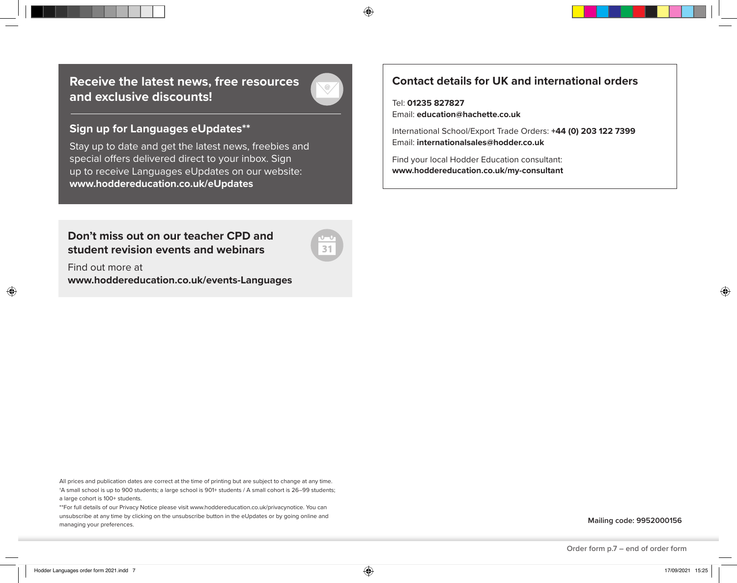**Receive the latest news, free resources and exclusive discounts!**

### **Sign up for Languages eUpdates\*\***

Stay up to date and get the latest news, freebies and special offers delivered direct to your inbox. Sign up to receive Languages eUpdates on our website: **www.hoddereducation.co.uk/eUpdates**

**Don't miss out on our teacher CPD and student revision events and webinars**

31

Find out more at **www.hoddereducation.co.uk/events-Languages**

All prices and publication dates are correct at the time of printing but are subject to change at any time. †A small school is up to 900 students; a large school is 901+ students / A small cohort is 26–99 students; a large cohort is 100+ students.

\*\*For full details of our Privacy Notice please visit www.hoddereducation.co.uk/privacynotice. You can unsubscribe at any time by clicking on the unsubscribe button in the eUpdates or by going online and managing your preferences.

**Mailing code: 9952000156**

## **Contact details for UK and international orders**

Tel: **01235 827827** Email: **education@hachette.co.uk**

International School/Export Trade Orders: **+44 (0) 203 122 7399**  Email: **internationalsales@hodder.co.uk**

Find your local Hodder Education consultant: **www.hoddereducation.co.uk/my-consultant**